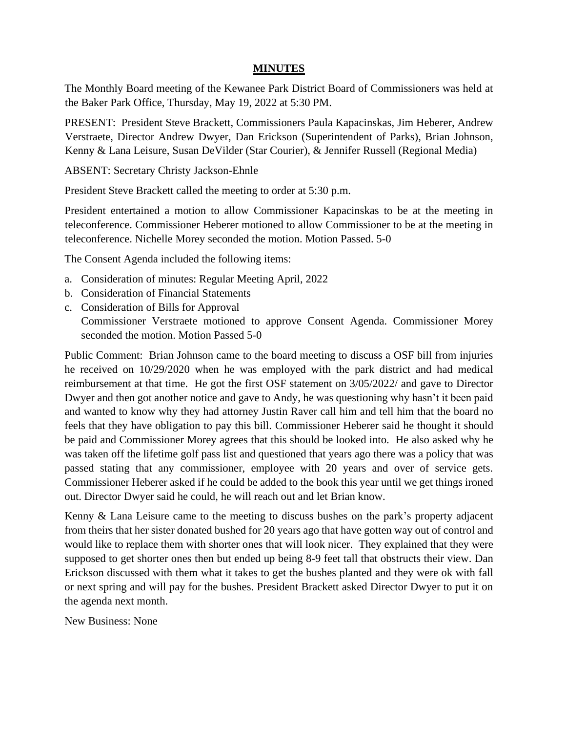## **MINUTES**

The Monthly Board meeting of the Kewanee Park District Board of Commissioners was held at the Baker Park Office, Thursday, May 19, 2022 at 5:30 PM.

PRESENT: President Steve Brackett, Commissioners Paula Kapacinskas, Jim Heberer, Andrew Verstraete, Director Andrew Dwyer, Dan Erickson (Superintendent of Parks), Brian Johnson, Kenny & Lana Leisure, Susan DeVilder (Star Courier), & Jennifer Russell (Regional Media)

ABSENT: Secretary Christy Jackson-Ehnle

President Steve Brackett called the meeting to order at 5:30 p.m.

President entertained a motion to allow Commissioner Kapacinskas to be at the meeting in teleconference. Commissioner Heberer motioned to allow Commissioner to be at the meeting in teleconference. Nichelle Morey seconded the motion. Motion Passed. 5-0

The Consent Agenda included the following items:

- a. Consideration of minutes: Regular Meeting April, 2022
- b. Consideration of Financial Statements
- c. Consideration of Bills for Approval Commissioner Verstraete motioned to approve Consent Agenda. Commissioner Morey seconded the motion. Motion Passed 5-0

Public Comment: Brian Johnson came to the board meeting to discuss a OSF bill from injuries he received on 10/29/2020 when he was employed with the park district and had medical reimbursement at that time. He got the first OSF statement on 3/05/2022/ and gave to Director Dwyer and then got another notice and gave to Andy, he was questioning why hasn't it been paid and wanted to know why they had attorney Justin Raver call him and tell him that the board no feels that they have obligation to pay this bill. Commissioner Heberer said he thought it should be paid and Commissioner Morey agrees that this should be looked into. He also asked why he was taken off the lifetime golf pass list and questioned that years ago there was a policy that was passed stating that any commissioner, employee with 20 years and over of service gets. Commissioner Heberer asked if he could be added to the book this year until we get things ironed out. Director Dwyer said he could, he will reach out and let Brian know.

Kenny & Lana Leisure came to the meeting to discuss bushes on the park's property adjacent from theirs that her sister donated bushed for 20 years ago that have gotten way out of control and would like to replace them with shorter ones that will look nicer. They explained that they were supposed to get shorter ones then but ended up being 8-9 feet tall that obstructs their view. Dan Erickson discussed with them what it takes to get the bushes planted and they were ok with fall or next spring and will pay for the bushes. President Brackett asked Director Dwyer to put it on the agenda next month.

New Business: None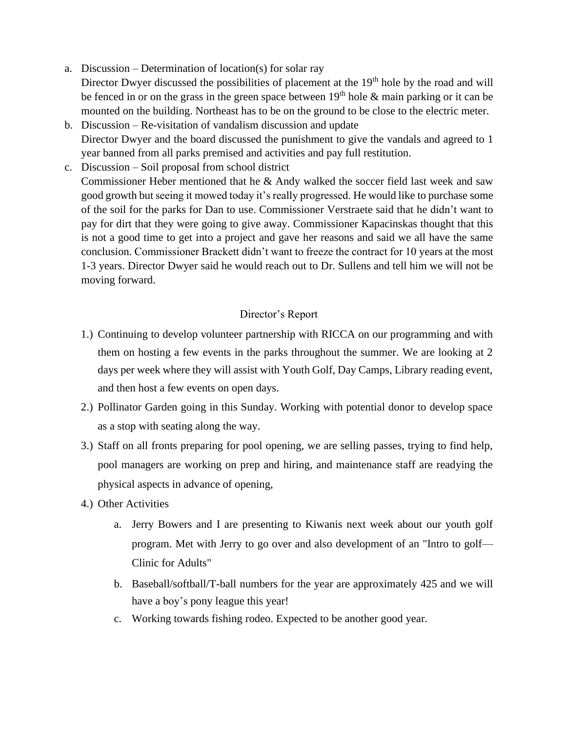- a. Discussion Determination of location(s) for solar ray Director Dwyer discussed the possibilities of placement at the 19<sup>th</sup> hole by the road and will be fenced in or on the grass in the green space between  $19<sup>th</sup>$  hole  $\&$  main parking or it can be mounted on the building. Northeast has to be on the ground to be close to the electric meter.
- b. Discussion Re-visitation of vandalism discussion and update Director Dwyer and the board discussed the punishment to give the vandals and agreed to 1 year banned from all parks premised and activities and pay full restitution.
- c. Discussion Soil proposal from school district Commissioner Heber mentioned that he & Andy walked the soccer field last week and saw good growth but seeing it mowed today it's really progressed. He would like to purchase some of the soil for the parks for Dan to use. Commissioner Verstraete said that he didn't want to pay for dirt that they were going to give away. Commissioner Kapacinskas thought that this is not a good time to get into a project and gave her reasons and said we all have the same conclusion. Commissioner Brackett didn't want to freeze the contract for 10 years at the most 1-3 years. Director Dwyer said he would reach out to Dr. Sullens and tell him we will not be moving forward.

## Director's Report

- 1.) Continuing to develop volunteer partnership with RICCA on our programming and with them on hosting a few events in the parks throughout the summer. We are looking at 2 days per week where they will assist with Youth Golf, Day Camps, Library reading event, and then host a few events on open days.
- 2.) Pollinator Garden going in this Sunday. Working with potential donor to develop space as a stop with seating along the way.
- 3.) Staff on all fronts preparing for pool opening, we are selling passes, trying to find help, pool managers are working on prep and hiring, and maintenance staff are readying the physical aspects in advance of opening,
- 4.) Other Activities
	- a. Jerry Bowers and I are presenting to Kiwanis next week about our youth golf program. Met with Jerry to go over and also development of an "Intro to golf— Clinic for Adults"
	- b. Baseball/softball/T-ball numbers for the year are approximately 425 and we will have a boy's pony league this year!
	- c. Working towards fishing rodeo. Expected to be another good year.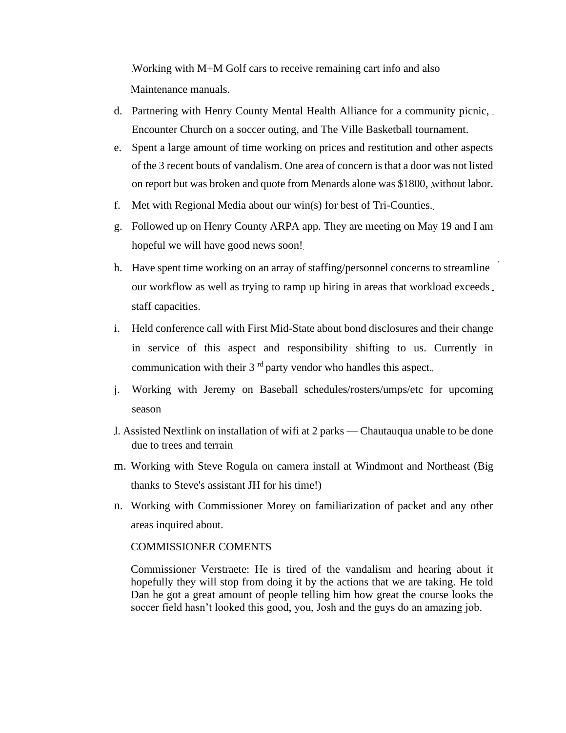Working with M+M Golf cars to receive remaining cart info and also Maintenance manuals.

- d. Partnering with Henry County Mental Health Alliance for a community picnic, Encounter Church on a soccer outing, and The Ville Basketball tournament.
- e. Spent a large amount of time working on prices and restitution and other aspects of the 3 recent bouts of vandalism. One area of concern is that a door was not listed on report but was broken and quote from Menards alone was \$1800, without labor.
- f. Met with Regional Media about our win(s) for best of Tri-Counties.
- g. Followed up on Henry County ARPA app. They are meeting on May 19 and I am hopeful we will have good news soon!
- h. Have spent time working on an array of staffing/personnel concerns to streamline our workflow as well as trying to ramp up hiring in areas that workload exceeds staff capacities.
- i. Held conference call with First Mid-State about bond disclosures and their change in service of this aspect and responsibility shifting to us. Currently in communication with their  $3<sup>rd</sup>$  party vendor who handles this aspect.
- j. Working with Jeremy on Baseball schedules/rosters/umps/etc for upcoming season
- l. Assisted Nextlink on installation of wifi at 2 parks Chautauqua unable to be done due to trees and terrain
- m. Working with Steve Rogula on camera install at Windmont and Northeast (Big thanks to Steve's assistant JH for his time!)
- n. Working with Commissioner Morey on familiarization of packet and any other areas inquired about.

## COMMISSIONER COMENTS

Commissioner Verstraete: He is tired of the vandalism and hearing about it hopefully they will stop from doing it by the actions that we are taking. He told Dan he got a great amount of people telling him how great the course looks the soccer field hasn't looked this good, you, Josh and the guys do an amazing job.